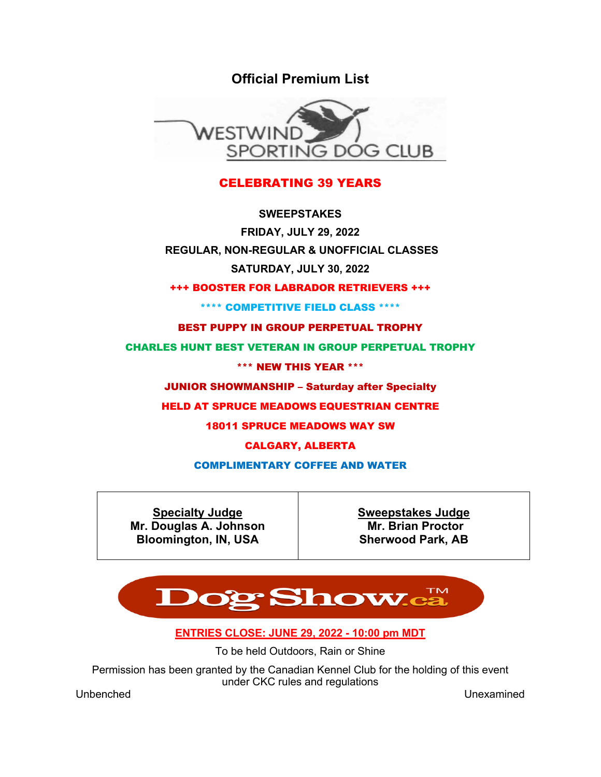**Official Premium List**



## CELEBRATING 39 YEARS

**SWEEPSTAKES FRIDAY, JULY 29, 2022 REGULAR, NON-REGULAR & UNOFFICIAL CLASSES SATURDAY, JULY 30, 2022**

+++ BOOSTER FOR LABRADOR RETRIEVERS +++

\*\*\*\* COMPETITIVE FIELD CLASS \*\*\*\*

BEST PUPPY IN GROUP PERPETUAL TROPHY

CHARLES HUNT BEST VETERAN IN GROUP PERPETUAL TROPHY

\*\*\* NEW THIS YEAR \*\*\*

JUNIOR SHOWMANSHIP – Saturday after Specialty

HELD AT SPRUCE MEADOWS EQUESTRIAN CENTRE

18011 SPRUCE MEADOWS WAY SW

CALGARY, ALBERTA

COMPLIMENTARY COFFEE AND WATER

**Specialty Judge Mr. Douglas A. Johnson Bloomington, IN, USA**

**Sweepstakes Judge Mr. Brian Proctor Sherwood Park, AB** 



**ENTRIES CLOSE: JUNE 29, 2022 - 10:00 pm MDT**

To be held Outdoors, Rain or Shine

Permission has been granted by the Canadian Kennel Club for the holding of this event under CKC rules and regulations

Unbenched Unexamined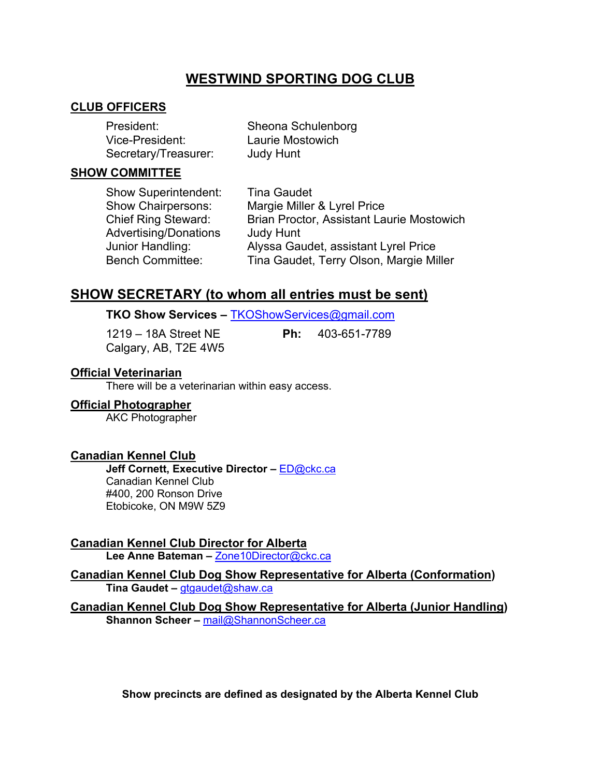# **WESTWIND SPORTING DOG CLUB**

## **CLUB OFFICERS**

| President:           | Sheona Schulenborg |
|----------------------|--------------------|
| Vice-President:      | Laurie Mostowich   |
| Secretary/Treasurer: | <b>Judy Hunt</b>   |

#### **SHOW COMMITTEE**

Show Superintendent: Tina Gaudet Show Chairpersons: Margie Miller & Lyrel Price Chief Ring Steward: Brian Proctor, Assistant Laurie Mostowich Advertising/Donations Judy Hunt Junior Handling: Alyssa Gaudet, assistant Lyrel Price Bench Committee: Tina Gaudet, Terry Olson, Margie Miller

## **SHOW SECRETARY (to whom all entries must be sent)**

## **TKO Show Services –** TKOShowServices@gmail.com

Calgary, AB, T2E 4W5

1219 – 18A Street NE **Ph:** 403-651-7789

## **Official Veterinarian**

There will be a veterinarian within easy access.

## **Official Photographer**

AKC Photographer

## **Canadian Kennel Club**

**Jeff Cornett, Executive Director –** ED@ckc.ca Canadian Kennel Club #400, 200 Ronson Drive Etobicoke, ON M9W 5Z9

**Canadian Kennel Club Director for Alberta**

**Lee Anne Bateman –** Zone10Director@ckc.ca

## **Canadian Kennel Club Dog Show Representative for Alberta (Conformation) Tina Gaudet –** gtgaudet@shaw.ca

**Canadian Kennel Club Dog Show Representative for Alberta (Junior Handling) Shannon Scheer –** mail@ShannonScheer.ca

**Show precincts are defined as designated by the Alberta Kennel Club**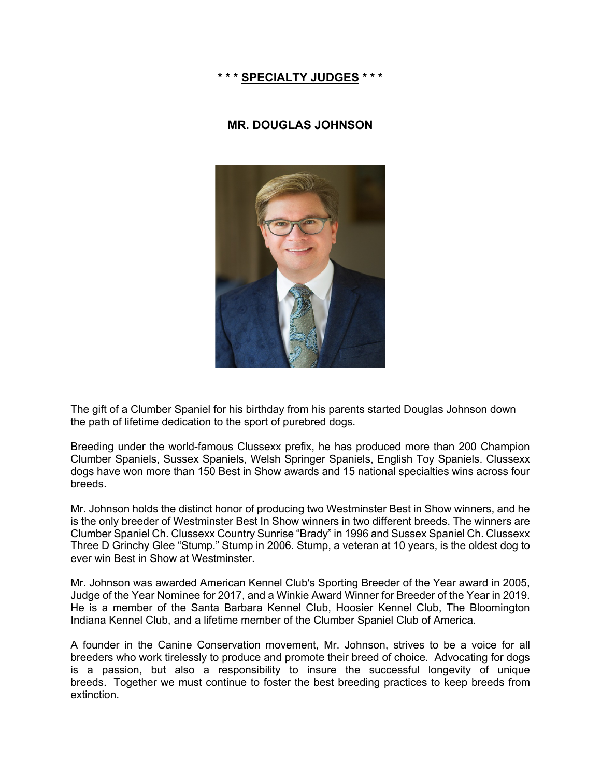## **\* \* \* SPECIALTY JUDGES \* \* \***

## **MR. DOUGLAS JOHNSON**



The gift of a Clumber Spaniel for his birthday from his parents started Douglas Johnson down the path of lifetime dedication to the sport of purebred dogs.

Breeding under the world-famous Clussexx prefix, he has produced more than 200 Champion Clumber Spaniels, Sussex Spaniels, Welsh Springer Spaniels, English Toy Spaniels. Clussexx dogs have won more than 150 Best in Show awards and 15 national specialties wins across four breeds.

Mr. Johnson holds the distinct honor of producing two Westminster Best in Show winners, and he is the only breeder of Westminster Best In Show winners in two different breeds. The winners are Clumber Spaniel Ch. Clussexx Country Sunrise "Brady" in 1996 and Sussex Spaniel Ch. Clussexx Three D Grinchy Glee "Stump." Stump in 2006. Stump, a veteran at 10 years, is the oldest dog to ever win Best in Show at Westminster.

Mr. Johnson was awarded American Kennel Club's Sporting Breeder of the Year award in 2005, Judge of the Year Nominee for 2017, and a Winkie Award Winner for Breeder of the Year in 2019. He is a member of the Santa Barbara Kennel Club, Hoosier Kennel Club, The Bloomington Indiana Kennel Club, and a lifetime member of the Clumber Spaniel Club of America.

A founder in the Canine Conservation movement, Mr. Johnson, strives to be a voice for all breeders who work tirelessly to produce and promote their breed of choice. Advocating for dogs is a passion, but also a responsibility to insure the successful longevity of unique breeds. Together we must continue to foster the best breeding practices to keep breeds from extinction.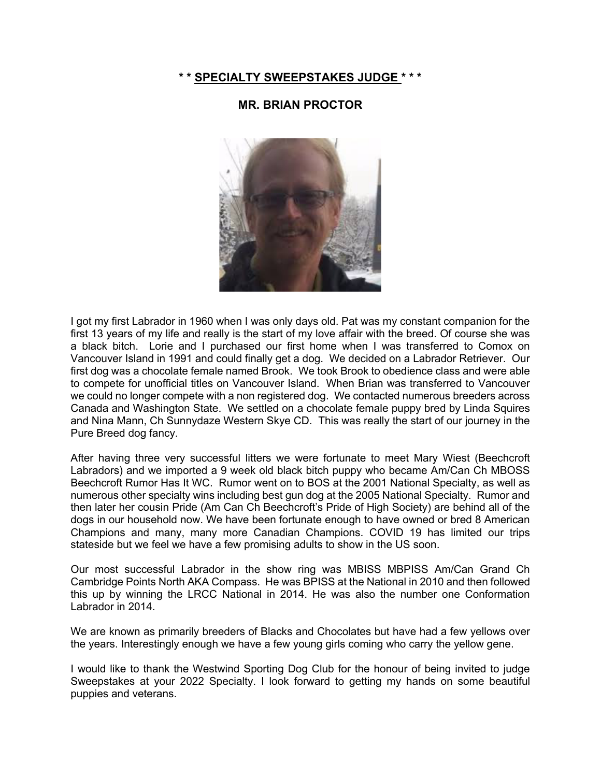#### **\* \* SPECIALTY SWEEPSTAKES JUDGE \* \* \***

## **MR. BRIAN PROCTOR**



I got my first Labrador in 1960 when I was only days old. Pat was my constant companion for the first 13 years of my life and really is the start of my love affair with the breed. Of course she was a black bitch. Lorie and I purchased our first home when I was transferred to Comox on Vancouver Island in 1991 and could finally get a dog. We decided on a Labrador Retriever. Our first dog was a chocolate female named Brook. We took Brook to obedience class and were able to compete for unofficial titles on Vancouver Island. When Brian was transferred to Vancouver we could no longer compete with a non registered dog. We contacted numerous breeders across Canada and Washington State. We settled on a chocolate female puppy bred by Linda Squires and Nina Mann, Ch Sunnydaze Western Skye CD. This was really the start of our journey in the Pure Breed dog fancy.

After having three very successful litters we were fortunate to meet Mary Wiest (Beechcroft Labradors) and we imported a 9 week old black bitch puppy who became Am/Can Ch MBOSS Beechcroft Rumor Has It WC. Rumor went on to BOS at the 2001 National Specialty, as well as numerous other specialty wins including best gun dog at the 2005 National Specialty. Rumor and then later her cousin Pride (Am Can Ch Beechcroft's Pride of High Society) are behind all of the dogs in our household now. We have been fortunate enough to have owned or bred 8 American Champions and many, many more Canadian Champions. COVID 19 has limited our trips stateside but we feel we have a few promising adults to show in the US soon.

Our most successful Labrador in the show ring was MBISS MBPISS Am/Can Grand Ch Cambridge Points North AKA Compass. He was BPISS at the National in 2010 and then followed this up by winning the LRCC National in 2014. He was also the number one Conformation Labrador in 2014.

We are known as primarily breeders of Blacks and Chocolates but have had a few yellows over the years. Interestingly enough we have a few young girls coming who carry the yellow gene.

I would like to thank the Westwind Sporting Dog Club for the honour of being invited to judge Sweepstakes at your 2022 Specialty. I look forward to getting my hands on some beautiful puppies and veterans.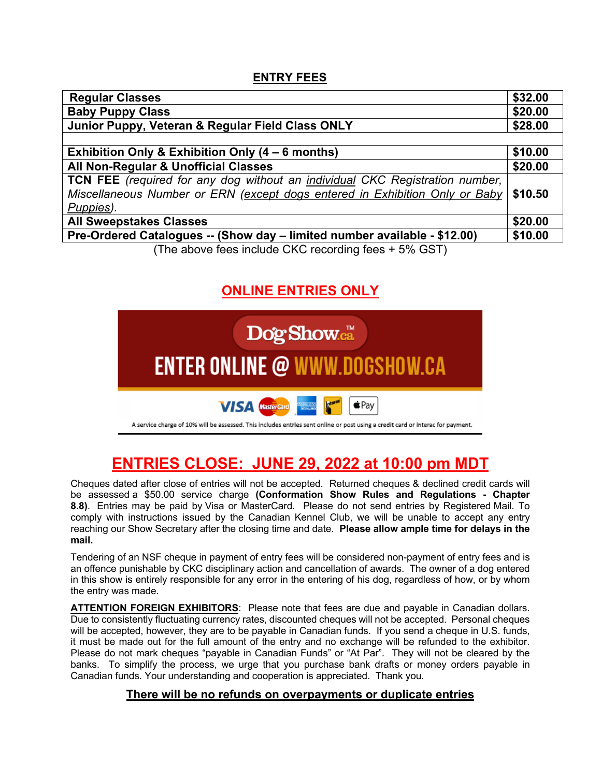## **ENTRY FEES**

| <b>Regular Classes</b>                                                       | \$32.00 |
|------------------------------------------------------------------------------|---------|
| <b>Baby Puppy Class</b>                                                      | \$20.00 |
| Junior Puppy, Veteran & Regular Field Class ONLY                             | \$28.00 |
|                                                                              |         |
| Exhibition Only & Exhibition Only (4 – 6 months)                             | \$10.00 |
| All Non-Regular & Unofficial Classes                                         | \$20.00 |
| TCN FEE (required for any dog without an individual CKC Registration number, |         |
| Miscellaneous Number or ERN (except dogs entered in Exhibition Only or Baby  | \$10.50 |
| Puppies).                                                                    |         |
| <b>All Sweepstakes Classes</b>                                               | \$20.00 |
| Pre-Ordered Catalogues -- (Show day - limited number available - \$12.00)    | \$10.00 |
| (The above fees include CKC recording fees + 5% GST)                         |         |

# **ONLINE ENTRIES ONLY**



# **ENTRIES CLOSE: JUNE 29, 2022 at 10:00 pm MDT**

Cheques dated after close of entries will not be accepted. Returned cheques & declined credit cards will be assessed a \$50.00 service charge **(Conformation Show Rules and Regulations - Chapter 8.8)**. Entries may be paid by Visa or MasterCard. Please do not send entries by Registered Mail. To comply with instructions issued by the Canadian Kennel Club, we will be unable to accept any entry reaching our Show Secretary after the closing time and date. **Please allow ample time for delays in the mail.**

Tendering of an NSF cheque in payment of entry fees will be considered non-payment of entry fees and is an offence punishable by CKC disciplinary action and cancellation of awards. The owner of a dog entered in this show is entirely responsible for any error in the entering of his dog, regardless of how, or by whom the entry was made.

**ATTENTION FOREIGN EXHIBITORS**: Please note that fees are due and payable in Canadian dollars. Due to consistently fluctuating currency rates, discounted cheques will not be accepted. Personal cheques will be accepted, however, they are to be payable in Canadian funds. If you send a cheque in U.S. funds, it must be made out for the full amount of the entry and no exchange will be refunded to the exhibitor. Please do not mark cheques "payable in Canadian Funds" or "At Par". They will not be cleared by the banks. To simplify the process, we urge that you purchase bank drafts or money orders payable in Canadian funds. Your understanding and cooperation is appreciated. Thank you.

## **There will be no refunds on overpayments or duplicate entries**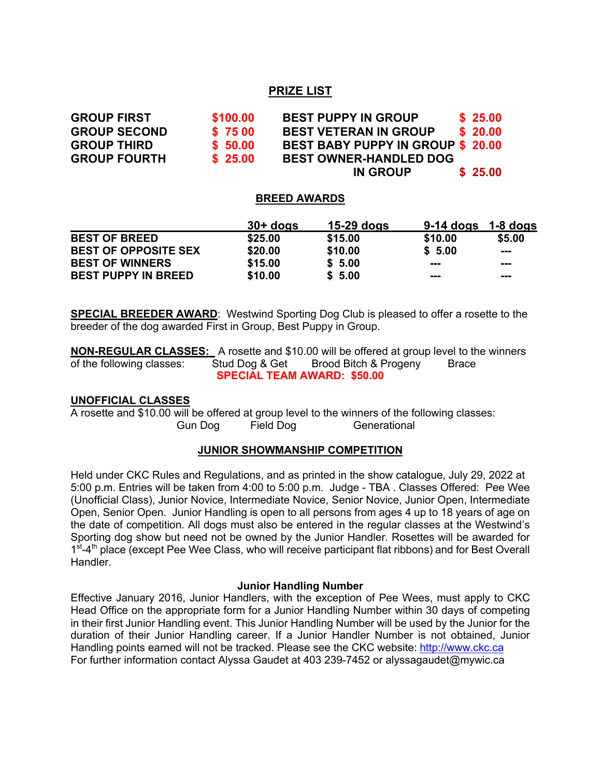## **PRIZE LIST**

**GROUP FIRST \$100.00 BEST PUPPY IN GROUP \$ 25.00 GROUP SECOND \$ 75 00 BEST VETERAN IN GROUP \$ 20.00 GROUP THIRD \$ 50.00 BEST BABY PUPPY IN GROUP \$ 20.00 GROUP FOURTH \$ 25.00 BEST OWNER-HANDLED DOG IN GROUP \$ 25.00**

#### **BREED AWARDS**

|                             | $30+$ dogs | $15-29$ dogs | $9-14$ dogs | $1-8$ dogs |
|-----------------------------|------------|--------------|-------------|------------|
| <b>BEST OF BREED</b>        | \$25.00    | \$15.00      | \$10.00     | \$5.00     |
| <b>BEST OF OPPOSITE SEX</b> | \$20.00    | \$10.00      | \$5.00      | $- - -$    |
| <b>BEST OF WINNERS</b>      | \$15.00    | \$5.00       | ---         | ---        |
| <b>BEST PUPPY IN BREED</b>  | \$10.00    | \$5.00       | ---         | ---        |

**SPECIAL BREEDER AWARD:** Westwind Sporting Dog Club is pleased to offer a rosette to the breeder of the dog awarded First in Group, Best Puppy in Group.

**NON-REGULAR CLASSES:** A rosette and \$10.00 will be offered at group level to the winners of the following classes: Stud Dog & Get Brood Bitch & Progeny Brace **SPECIAL TEAM AWARD: \$50.00**

#### **UNOFFICIAL CLASSES**

A rosette and \$10.00 will be offered at group level to the winners of the following classes: Gun Dog Field Dog Generational

#### **JUNIOR SHOWMANSHIP COMPETITION**

Held under CKC Rules and Regulations, and as printed in the show catalogue, July 29, 2022 at 5:00 p.m. Entries will be taken from 4:00 to 5:00 p.m. Judge - TBA . Classes Offered: Pee Wee (Unofficial Class), Junior Novice, Intermediate Novice, Senior Novice, Junior Open, Intermediate Open, Senior Open. Junior Handling is open to all persons from ages 4 up to 18 years of age on the date of competition. All dogs must also be entered in the regular classes at the Westwind's Sporting dog show but need not be owned by the Junior Handler. Rosettes will be awarded for  $1<sup>st</sup>$ -4<sup>th</sup> place (except Pee Wee Class, who will receive participant flat ribbons) and for Best Overall Handler.

#### **Junior Handling Number**

Effective January 2016, Junior Handlers, with the exception of Pee Wees, must apply to CKC Head Office on the appropriate form for a Junior Handling Number within 30 days of competing in their first Junior Handling event. This Junior Handling Number will be used by the Junior for the duration of their Junior Handling career. If a Junior Handler Number is not obtained, Junior Handling points earned will not be tracked. Please see the CKC website: http://www.ckc.ca For further information contact Alyssa Gaudet at 403 239-7452 or alyssagaudet@mywic.ca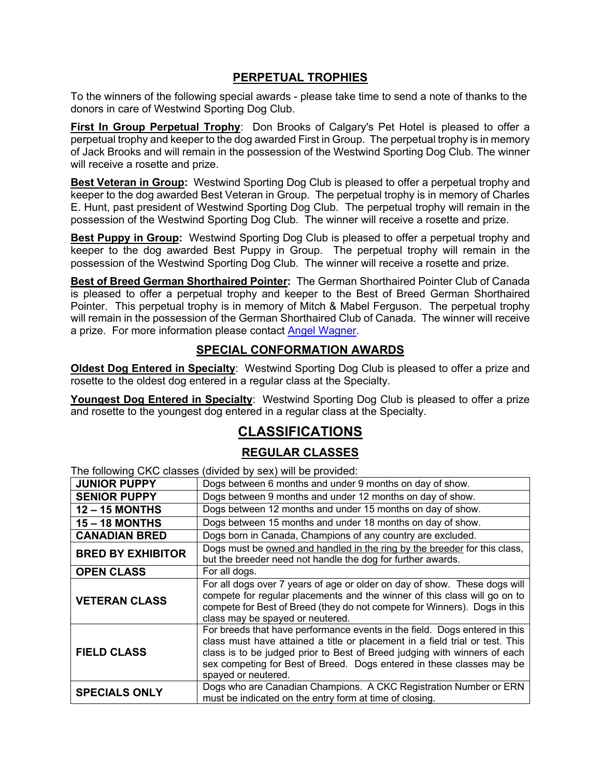## **PERPETUAL TROPHIES**

To the winners of the following special awards - please take time to send a note of thanks to the donors in care of Westwind Sporting Dog Club.

**First In Group Perpetual Trophy**: Don Brooks of Calgary's Pet Hotel is pleased to offer a perpetual trophy and keeper to the dog awarded First in Group. The perpetual trophy is in memory of Jack Brooks and will remain in the possession of the Westwind Sporting Dog Club. The winner will receive a rosette and prize.

**Best Veteran in Group:** Westwind Sporting Dog Club is pleased to offer a perpetual trophy and keeper to the dog awarded Best Veteran in Group. The perpetual trophy is in memory of Charles E. Hunt, past president of Westwind Sporting Dog Club. The perpetual trophy will remain in the possession of the Westwind Sporting Dog Club. The winner will receive a rosette and prize.

**Best Puppy in Group:** Westwind Sporting Dog Club is pleased to offer a perpetual trophy and keeper to the dog awarded Best Puppy in Group. The perpetual trophy will remain in the possession of the Westwind Sporting Dog Club. The winner will receive a rosette and prize.

**Best of Breed German Shorthaired Pointer:** The German Shorthaired Pointer Club of Canada is pleased to offer a perpetual trophy and keeper to the Best of Breed German Shorthaired Pointer. This perpetual trophy is in memory of Mitch & Mabel Ferguson. The perpetual trophy will remain in the possession of the German Shorthaired Club of Canada. The winner will receive a prize. For more information please contact Angel Wagner.

## **SPECIAL CONFORMATION AWARDS**

**Oldest Dog Entered in Specialty**: Westwind Sporting Dog Club is pleased to offer a prize and rosette to the oldest dog entered in a regular class at the Specialty.

Youngest Dog Entered in Specialty: Westwind Sporting Dog Club is pleased to offer a prize and rosette to the youngest dog entered in a regular class at the Specialty.

## **CLASSIFICATIONS**

## **REGULAR CLASSES**

The following CKC classes (divided by sex) will be provided:

|                          | $\overline{a}$ is interesting only side of the fundamental $\overline{b}$ of $\overline{b}$ and $\overline{b}$ is interest.                                                                                                                                                                                                             |
|--------------------------|-----------------------------------------------------------------------------------------------------------------------------------------------------------------------------------------------------------------------------------------------------------------------------------------------------------------------------------------|
| <b>JUNIOR PUPPY</b>      | Dogs between 6 months and under 9 months on day of show.                                                                                                                                                                                                                                                                                |
| <b>SENIOR PUPPY</b>      | Dogs between 9 months and under 12 months on day of show.                                                                                                                                                                                                                                                                               |
| $12 - 15$ MONTHS         | Dogs between 12 months and under 15 months on day of show.                                                                                                                                                                                                                                                                              |
| <b>15 - 18 MONTHS</b>    | Dogs between 15 months and under 18 months on day of show.                                                                                                                                                                                                                                                                              |
| <b>CANADIAN BRED</b>     | Dogs born in Canada, Champions of any country are excluded.                                                                                                                                                                                                                                                                             |
| <b>BRED BY EXHIBITOR</b> | Dogs must be owned and handled in the ring by the breeder for this class,<br>but the breeder need not handle the dog for further awards.                                                                                                                                                                                                |
| <b>OPEN CLASS</b>        | For all dogs.                                                                                                                                                                                                                                                                                                                           |
| <b>VETERAN CLASS</b>     | For all dogs over 7 years of age or older on day of show. These dogs will<br>compete for regular placements and the winner of this class will go on to<br>compete for Best of Breed (they do not compete for Winners). Dogs in this<br>class may be spayed or neutered.                                                                 |
| <b>FIELD CLASS</b>       | For breeds that have performance events in the field. Dogs entered in this<br>class must have attained a title or placement in a field trial or test. This<br>class is to be judged prior to Best of Breed judging with winners of each<br>sex competing for Best of Breed. Dogs entered in these classes may be<br>spayed or neutered. |
| <b>SPECIALS ONLY</b>     | Dogs who are Canadian Champions. A CKC Registration Number or ERN<br>must be indicated on the entry form at time of closing.                                                                                                                                                                                                            |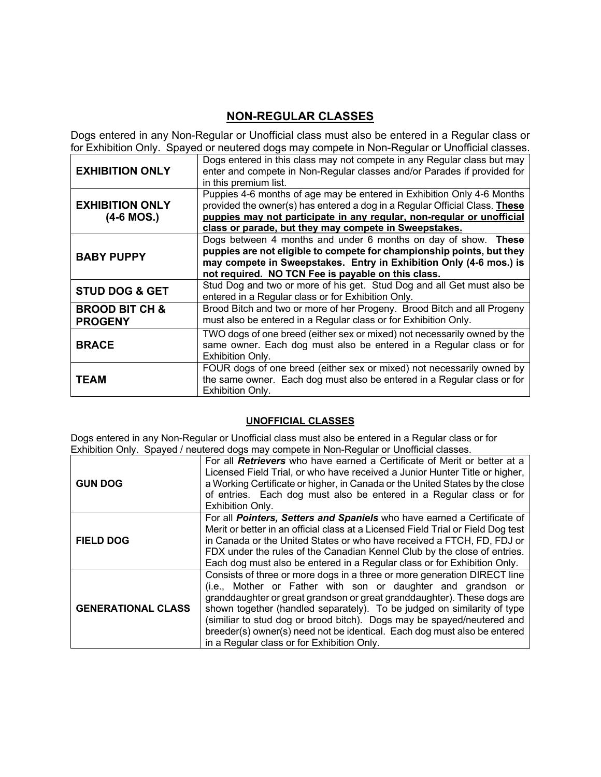## **NON-REGULAR CLASSES**

Dogs entered in any Non-Regular or Unofficial class must also be entered in a Regular class or for Exhibition Only. Spayed or neutered dogs may compete in Non-Regular or Unofficial classes.

| <b>EXHIBITION ONLY</b>                      | Dogs entered in this class may not compete in any Regular class but may<br>enter and compete in Non-Regular classes and/or Parades if provided for<br>in this premium list.                                                                                                            |
|---------------------------------------------|----------------------------------------------------------------------------------------------------------------------------------------------------------------------------------------------------------------------------------------------------------------------------------------|
| <b>EXHIBITION ONLY</b><br>$(4-6$ MOS.)      | Puppies 4-6 months of age may be entered in Exhibition Only 4-6 Months<br>provided the owner(s) has entered a dog in a Regular Official Class. These<br>puppies may not participate in any regular, non-regular or unofficial<br>class or parade, but they may compete in Sweepstakes. |
| <b>BABY PUPPY</b>                           | Dogs between 4 months and under 6 months on day of show. These<br>puppies are not eligible to compete for championship points, but they<br>may compete in Sweepstakes. Entry in Exhibition Only (4-6 mos.) is<br>not required. NO TCN Fee is payable on this class.                    |
| <b>STUD DOG &amp; GET</b>                   | Stud Dog and two or more of his get. Stud Dog and all Get must also be<br>entered in a Regular class or for Exhibition Only.                                                                                                                                                           |
| <b>BROOD BIT CH &amp;</b><br><b>PROGENY</b> | Brood Bitch and two or more of her Progeny. Brood Bitch and all Progeny<br>must also be entered in a Regular class or for Exhibition Only.                                                                                                                                             |
| <b>BRACE</b>                                | TWO dogs of one breed (either sex or mixed) not necessarily owned by the<br>same owner. Each dog must also be entered in a Regular class or for<br>Exhibition Only.                                                                                                                    |
| <b>TEAM</b>                                 | FOUR dogs of one breed (either sex or mixed) not necessarily owned by<br>the same owner. Each dog must also be entered in a Regular class or for<br>Exhibition Only.                                                                                                                   |

## **UNOFFICIAL CLASSES**

Dogs entered in any Non-Regular or Unofficial class must also be entered in a Regular class or for Exhibition Only. Spayed / neutered dogs may compete in Non-Regular or Unofficial classes.

| <b>GUN DOG</b>            | For all <b>Retrievers</b> who have earned a Certificate of Merit or better at a<br>Licensed Field Trial, or who have received a Junior Hunter Title or higher,<br>a Working Certificate or higher, in Canada or the United States by the close<br>of entries. Each dog must also be entered in a Regular class or for<br>Exhibition Only.                                                                                                                                                          |  |
|---------------------------|----------------------------------------------------------------------------------------------------------------------------------------------------------------------------------------------------------------------------------------------------------------------------------------------------------------------------------------------------------------------------------------------------------------------------------------------------------------------------------------------------|--|
| <b>FIELD DOG</b>          | For all Pointers, Setters and Spaniels who have earned a Certificate of<br>Merit or better in an official class at a Licensed Field Trial or Field Dog test<br>in Canada or the United States or who have received a FTCH, FD, FDJ or<br>FDX under the rules of the Canadian Kennel Club by the close of entries.<br>Each dog must also be entered in a Regular class or for Exhibition Only.                                                                                                      |  |
| <b>GENERATIONAL CLASS</b> | Consists of three or more dogs in a three or more generation DIRECT line<br>(i.e., Mother or Father with son or daughter and grandson or<br>granddaughter or great grandson or great granddaughter). These dogs are<br>shown together (handled separately). To be judged on similarity of type<br>(similiar to stud dog or brood bitch). Dogs may be spayed/neutered and<br>breeder(s) owner(s) need not be identical. Each dog must also be entered<br>in a Regular class or for Exhibition Only. |  |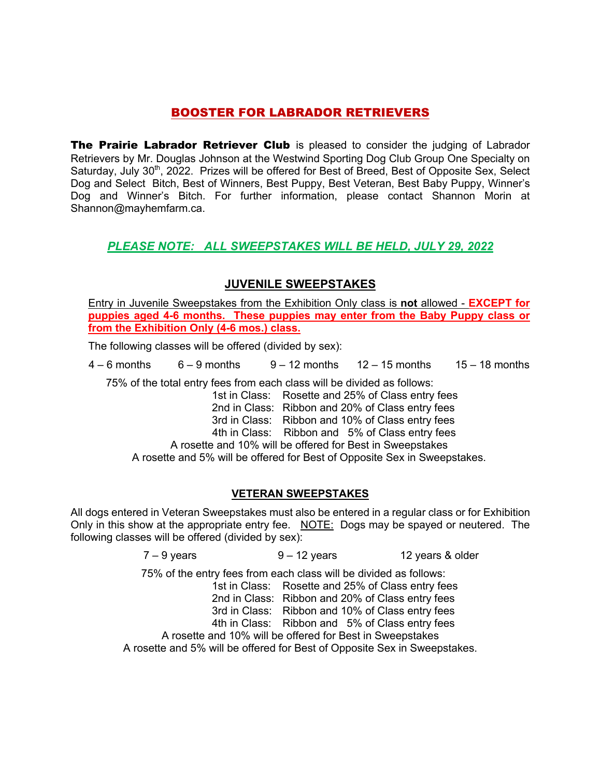## BOOSTER FOR LABRADOR RETRIEVERS

The Prairie Labrador Retriever Club is pleased to consider the judging of Labrador Retrievers by Mr. Douglas Johnson at the Westwind Sporting Dog Club Group One Specialty on Saturday, July 30<sup>th</sup>, 2022. Prizes will be offered for Best of Breed, Best of Opposite Sex, Select Dog and Select Bitch, Best of Winners, Best Puppy, Best Veteran, Best Baby Puppy, Winner's Dog and Winner's Bitch. For further information, please contact Shannon Morin at Shannon@mayhemfarm.ca.

## *PLEASE NOTE: ALL SWEEPSTAKES WILL BE HELD, JULY 29, 2022*

## **JUVENILE SWEEPSTAKES**

Entry in Juvenile Sweepstakes from the Exhibition Only class is **not** allowed - **EXCEPT for puppies aged 4-6 months. These puppies may enter from the Baby Puppy class or from the Exhibition Only (4-6 mos.) class.**

The following classes will be offered (divided by sex):

 $4 - 6$  months  $6 - 9$  months  $9 - 12$  months  $12 - 15$  months  $15 - 18$  months

75% of the total entry fees from each class will be divided as follows:

1st in Class: Rosette and 25% of Class entry fees

2nd in Class: Ribbon and 20% of Class entry fees

3rd in Class: Ribbon and 10% of Class entry fees

4th in Class: Ribbon and 5% of Class entry fees

A rosette and 10% will be offered for Best in Sweepstakes

A rosette and 5% will be offered for Best of Opposite Sex in Sweepstakes.

## **VETERAN SWEEPSTAKES**

All dogs entered in Veteran Sweepstakes must also be entered in a regular class or for Exhibition Only in this show at the appropriate entry fee. NOTE: Dogs may be spayed or neutered. The following classes will be offered (divided by sex):

 $7 - 9$  years  $9 - 12$  years  $12$  years & older

75% of the entry fees from each class will be divided as follows:

1st in Class: Rosette and 25% of Class entry fees

2nd in Class: Ribbon and 20% of Class entry fees

3rd in Class: Ribbon and 10% of Class entry fees

4th in Class: Ribbon and 5% of Class entry fees

A rosette and 10% will be offered for Best in Sweepstakes

A rosette and 5% will be offered for Best of Opposite Sex in Sweepstakes.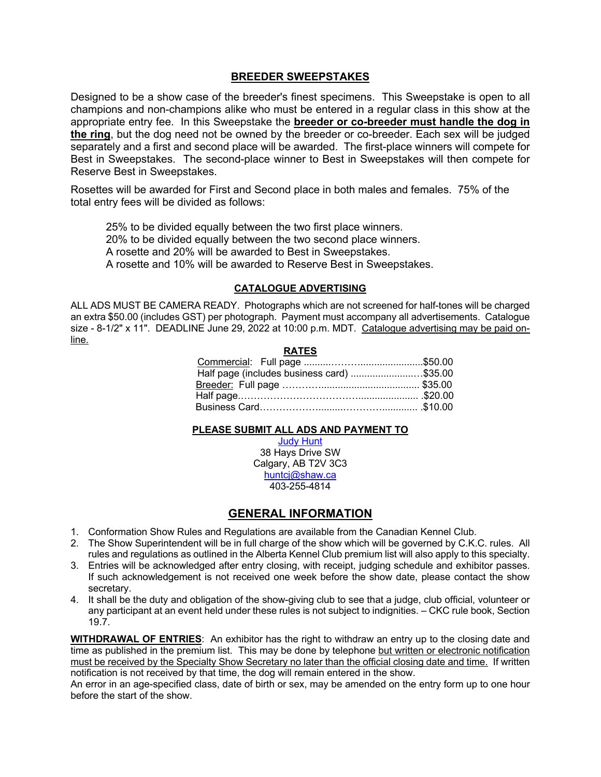#### **BREEDER SWEEPSTAKES**

Designed to be a show case of the breeder's finest specimens. This Sweepstake is open to all champions and non-champions alike who must be entered in a regular class in this show at the appropriate entry fee. In this Sweepstake the **breeder or co-breeder must handle the dog in the ring**, but the dog need not be owned by the breeder or co-breeder. Each sex will be judged separately and a first and second place will be awarded. The first-place winners will compete for Best in Sweepstakes. The second-place winner to Best in Sweepstakes will then compete for Reserve Best in Sweepstakes.

Rosettes will be awarded for First and Second place in both males and females. 75% of the total entry fees will be divided as follows:

25% to be divided equally between the two first place winners. 20% to be divided equally between the two second place winners. A rosette and 20% will be awarded to Best in Sweepstakes. A rosette and 10% will be awarded to Reserve Best in Sweepstakes.

#### **CATALOGUE ADVERTISING**

ALL ADS MUST BE CAMERA READY. Photographs which are not screened for half-tones will be charged an extra \$50.00 (includes GST) per photograph. Payment must accompany all advertisements. Catalogue size - 8-1/2" x 11". DEADLINE June 29, 2022 at 10:00 p.m. MDT. Catalogue advertising may be paid online.

#### **RATES**

| Half page (includes business card) \$35.00 |  |
|--------------------------------------------|--|
|                                            |  |
|                                            |  |
|                                            |  |
|                                            |  |

#### **PLEASE SUBMIT ALL ADS AND PAYMENT TO**

Judy Hunt 38 Hays Drive SW Calgary, AB T2V 3C3 huntcj@shaw.ca 403-255-4814

## **GENERAL INFORMATION**

- 1. Conformation Show Rules and Regulations are available from the Canadian Kennel Club.
- 2. The Show Superintendent will be in full charge of the show which will be governed by C.K.C. rules. All rules and regulations as outlined in the Alberta Kennel Club premium list will also apply to this specialty.
- 3. Entries will be acknowledged after entry closing, with receipt, judging schedule and exhibitor passes. If such acknowledgement is not received one week before the show date, please contact the show secretary.
- 4. It shall be the duty and obligation of the show-giving club to see that a judge, club official, volunteer or any participant at an event held under these rules is not subject to indignities. – CKC rule book, Section 19.7.

**WITHDRAWAL OF ENTRIES**: An exhibitor has the right to withdraw an entry up to the closing date and time as published in the premium list. This may be done by telephone but written or electronic notification must be received by the Specialty Show Secretary no later than the official closing date and time. If written notification is not received by that time, the dog will remain entered in the show.

An error in an age-specified class, date of birth or sex, may be amended on the entry form up to one hour before the start of the show.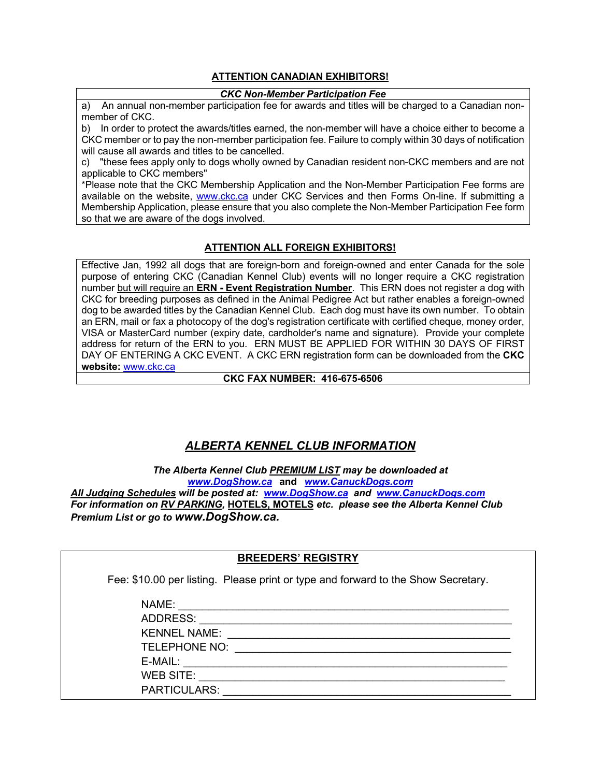#### **ATTENTION CANADIAN EXHIBITORS!**

#### *CKC Non-Member Participation Fee*

a) An annual non-member participation fee for awards and titles will be charged to a Canadian nonmember of CKC.

b) In order to protect the awards/titles earned, the non-member will have a choice either to become a CKC member or to pay the non-member participation fee. Failure to comply within 30 days of notification will cause all awards and titles to be cancelled.

c) "these fees apply only to dogs wholly owned by Canadian resident non-CKC members and are not applicable to CKC members"

\*Please note that the CKC Membership Application and the Non-Member Participation Fee forms are available on the website, www.ckc.ca under CKC Services and then Forms On-line. If submitting a Membership Application, please ensure that you also complete the Non-Member Participation Fee form so that we are aware of the dogs involved.

#### **ATTENTION ALL FOREIGN EXHIBITORS!**

Effective Jan, 1992 all dogs that are foreign-born and foreign-owned and enter Canada for the sole purpose of entering CKC (Canadian Kennel Club) events will no longer require a CKC registration number but will require an **ERN - Event Registration Number**. This ERN does not register a dog with CKC for breeding purposes as defined in the Animal Pedigree Act but rather enables a foreign-owned dog to be awarded titles by the Canadian Kennel Club. Each dog must have its own number. To obtain an ERN, mail or fax a photocopy of the dog's registration certificate with certified cheque, money order, VISA or MasterCard number (expiry date, cardholder's name and signature). Provide your complete address for return of the ERN to you. ERN MUST BE APPLIED FOR WITHIN 30 DAYS OF FIRST DAY OF ENTERING A CKC EVENT. A CKC ERN registration form can be downloaded from the **CKC website:** www.ckc.ca

#### **CKC FAX NUMBER: 416-675-6506**

## *ALBERTA KENNEL CLUB INFORMATION*

*The Alberta Kennel Club PREMIUM LIST may be downloaded at www.DogShow.ca* **and** *www.CanuckDogs.com*

*All Judging Schedules will be posted at: www.DogShow.ca and www.CanuckDogs.com For information on RV PARKING,* **HOTELS, MOTELS** *etc. please see the Alberta Kennel Club Premium List or go to www.DogShow.ca.*

#### **BREEDERS' REGISTRY**

Fee: \$10.00 per listing. Please print or type and forward to the Show Secretary.

| NAME:                |
|----------------------|
| ADDRESS:             |
| <b>KENNEL NAME:</b>  |
| <b>TELEPHONE NO:</b> |
| E-MAIL:              |
| <b>WEB SITE:</b>     |
| <b>PARTICULARS:</b>  |